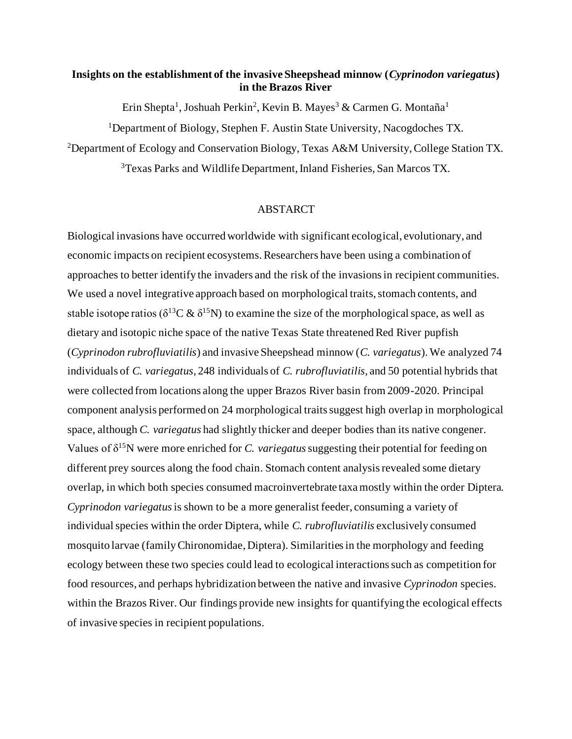# **Insights on the establishment of the invasive Sheepshead minnow (***Cyprinodon variegatus***) in the Brazos River**

Erin Shepta<sup>1</sup>, Joshuah Perkin<sup>2</sup>, Kevin B. Mayes<sup>3</sup> & Carmen G. Montaña<sup>1</sup> <sup>1</sup>Department of Biology, Stephen F. Austin State University, Nacogdoches TX. <sup>2</sup>Department of Ecology and Conservation Biology, Texas A&M University, College Station TX.

<sup>3</sup>Texas Parks and Wildlife Department, Inland Fisheries, San Marcos TX.

## ABSTARCT

Biological invasions have occurred worldwide with significant ecological, evolutionary, and economic impacts on recipient ecosystems. Researchers have been using a combination of approaches to better identify the invaders and the risk of the invasions in recipient communities. We used a novel integrative approach based on morphological traits, stomach contents, and stable isotope ratios ( $\delta^{13}C \& \delta^{15}N$ ) to examine the size of the morphological space, as well as dietary and isotopic niche space of the native Texas State threatened Red River pupfish (*Cyprinodon rubrofluviatilis*) and invasive Sheepshead minnow (*C. variegatus*). We analyzed 74 individuals of *C. variegatus*, 248 individuals of *C. rubrofluviatilis*, and 50 potential hybrids that were collected from locations along the upper Brazos River basin from 2009-2020. Principal component analysis performed on 24 morphological traits suggest high overlap in morphological space, although *C. variegatus* had slightly thicker and deeper bodies than its native congener. Values of  $\delta^{15}N$  were more enriched for *C. variegatus* suggesting their potential for feeding on different prey sources along the food chain. Stomach content analysis revealed some dietary overlap, in which both species consumed macroinvertebrate taxa mostly within the order Diptera. *Cyprinodon variegatus*is shown to be a more generalist feeder, consuming a variety of individual species within the order Diptera, while *C. rubrofluviatilis* exclusively consumed mosquito larvae (family Chironomidae, Diptera). Similarities in the morphology and feeding ecology between these two species could lead to ecological interactions such as competition for food resources, and perhaps hybridization between the native and invasive *Cyprinodon* species. within the Brazos River. Our findings provide new insights for quantifying the ecological effects of invasive species in recipient populations.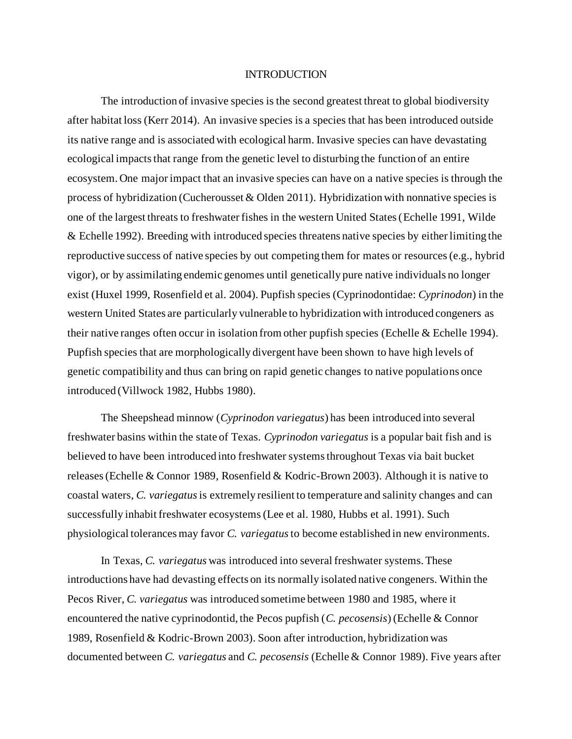#### INTRODUCTION

The introduction of invasive species is the second greatest threat to global biodiversity after habitat loss (Kerr 2014). An invasive species is a species that has been introduced outside its native range and is associated with ecological harm. Invasive species can have devastating ecological impacts that range from the genetic level to disturbing the function of an entire ecosystem. One major impact that an invasive species can have on a native species is through the process of hybridization (Cucherousset & Olden 2011). Hybridization with nonnative species is one of the largest threats to freshwater fishes in the western United States (Echelle 1991, Wilde & Echelle 1992). Breeding with introduced species threatens native species by either limiting the reproductive success of native species by out competing them for mates or resources (e.g., hybrid vigor), or by assimilating endemic genomes until genetically pure native individuals no longer exist (Huxel 1999, Rosenfield et al. 2004). Pupfish species (Cyprinodontidae: *Cyprinodon*) in the western United States are particularly vulnerable to hybridization with introduced congeners as their native ranges often occur in isolation from other pupfish species (Echelle & Echelle 1994). Pupfish species that are morphologically divergent have been shown to have high levels of genetic compatibility and thus can bring on rapid genetic changes to native populations once introduced (Villwock 1982, Hubbs 1980).

The Sheepshead minnow (*Cyprinodon variegatus*) has been introduced into several freshwater basins within the state of Texas. *Cyprinodon variegatus* is a popular bait fish and is believed to have been introduced into freshwater systems throughout Texas via bait bucket releases (Echelle & Connor 1989, Rosenfield & Kodric-Brown 2003). Although it is native to coastal waters, *C. variegatus*is extremely resilient to temperature and salinity changes and can successfully inhabit freshwater ecosystems(Lee et al. 1980, Hubbs et al. 1991). Such physiological tolerances may favor *C. variegatus* to become established in new environments.

In Texas, *C. variegatus* was introduced into several freshwater systems. These introductions have had devasting effects on its normally isolated native congeners. Within the Pecos River, *C. variegatus* was introduced sometime between 1980 and 1985, where it encountered the native cyprinodontid, the Pecos pupfish (*C. pecosensis*) (Echelle & Connor 1989, Rosenfield & Kodric-Brown 2003). Soon after introduction, hybridization was documented between *C. variegatus* and *C. pecosensis* (Echelle & Connor 1989). Five years after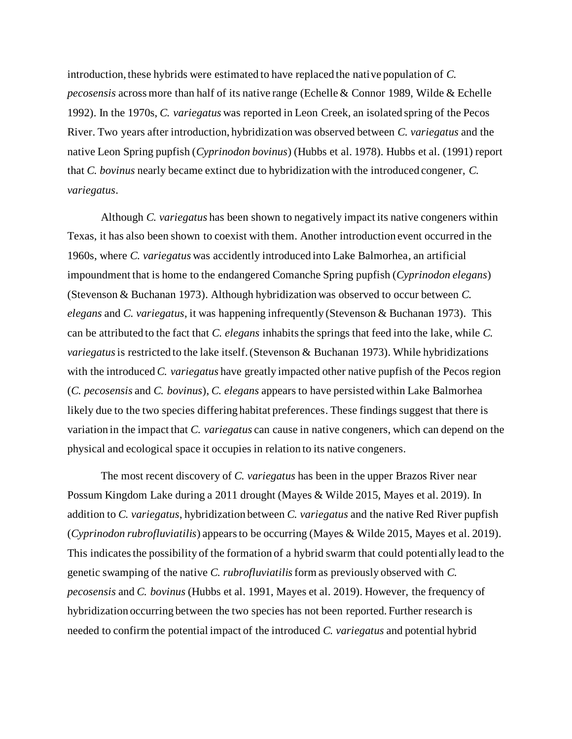introduction, these hybrids were estimated to have replaced the native population of *C. pecosensis* across more than half of its native range (Echelle & Connor 1989, Wilde & Echelle 1992). In the 1970s, *C. variegatus* was reported in Leon Creek, an isolated spring of the Pecos River. Two years after introduction, hybridization was observed between *C. variegatus* and the native Leon Spring pupfish (*Cyprinodon bovinus*) (Hubbs et al. 1978). Hubbs et al. (1991) report that *C. bovinus* nearly became extinct due to hybridization with the introduced congener, *C. variegatus*.

Although *C. variegatus* has been shown to negatively impact its native congeners within Texas, it has also been shown to coexist with them. Another introduction event occurred in the 1960s, where *C. variegatus* was accidently introduced into Lake Balmorhea, an artificial impoundment that is home to the endangered Comanche Spring pupfish (*Cyprinodon elegans*) (Stevenson & Buchanan 1973). Although hybridization was observed to occur between *C. elegans* and *C. variegatus*, it was happening infrequently (Stevenson & Buchanan 1973). This can be attributed to the fact that *C. elegans* inhabits the springs that feed into the lake, while *C. variegatus* is restricted to the lake itself.(Stevenson & Buchanan 1973). While hybridizations with the introduced *C. variegatus* have greatly impacted other native pupfish of the Pecos region (*C. pecosensis* and *C. bovinus*), *C. elegans* appears to have persisted within Lake Balmorhea likely due to the two species differing habitat preferences. These findings suggest that there is variation in the impact that *C. variegatus* can cause in native congeners, which can depend on the physical and ecological space it occupies in relation to its native congeners.

The most recent discovery of *C. variegatus* has been in the upper Brazos River near Possum Kingdom Lake during a 2011 drought (Mayes & Wilde 2015, Mayes et al. 2019). In addition to *C. variegatus*, hybridization between *C. variegatus* and the native Red River pupfish (*Cyprinodon rubrofluviatilis*) appears to be occurring (Mayes & Wilde 2015, Mayes et al. 2019). This indicates the possibility of the formation of a hybrid swarm that could potentially lead to the genetic swamping of the native *C. rubrofluviatilis*form as previously observed with *C. pecosensis* and *C. bovinus* (Hubbs et al. 1991, Mayes et al. 2019). However, the frequency of hybridization occurring between the two species has not been reported. Further research is needed to confirm the potential impact of the introduced *C. variegatus* and potential hybrid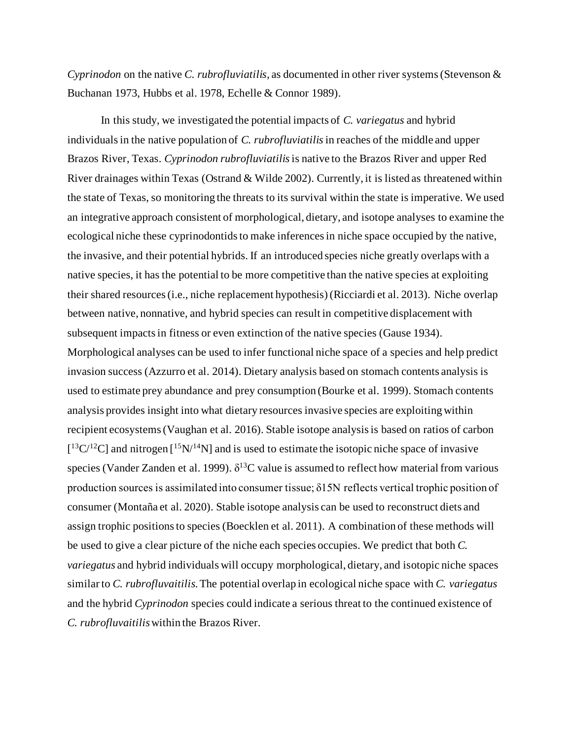*Cyprinodon* on the native *C. rubrofluviatilis,* as documented in other river systems (Stevenson & Buchanan 1973, Hubbs et al. 1978, Echelle & Connor 1989).

In this study, we investigated the potential impacts of *C. variegatus* and hybrid individualsin the native population of *C. rubrofluviatilis*in reaches of the middle and upper Brazos River, Texas. *Cyprinodon rubrofluviatilis*is native to the Brazos River and upper Red River drainages within Texas (Ostrand & Wilde 2002). Currently, it is listed as threatened within the state of Texas, so monitoring the threats to its survival within the state is imperative. We used an integrative approach consistent of morphological, dietary, and isotope analyses to examine the ecological niche these cyprinodontids to make inferences in niche space occupied by the native, the invasive, and their potential hybrids. If an introduced species niche greatly overlaps with a native species, it has the potential to be more competitive than the native species at exploiting their shared resources (i.e., niche replacement hypothesis) (Ricciardi et al. 2013). Niche overlap between native, nonnative, and hybrid species can result in competitive displacement with subsequent impacts in fitness or even extinction of the native species (Gause 1934). Morphological analyses can be used to infer functional niche space of a species and help predict invasion success (Azzurro et al. 2014). Dietary analysis based on stomach contents analysis is used to estimate prey abundance and prey consumption (Bourke et al. 1999). Stomach contents analysis provides insight into what dietary resources invasive species are exploiting within recipient ecosystems (Vaughan et al. 2016). Stable isotope analysis is based on ratios of carbon  $[{}^{13}C/{}^{12}C]$  and nitrogen  $[{}^{15}N/{}^{14}N]$  and is used to estimate the isotopic niche space of invasive species (Vander Zanden et al. 1999).  $\delta^{13}$ C value is assumed to reflect how material from various production sources is assimilated into consumer tissue; δ15N reflects vertical trophic position of consumer (Montaña et al. 2020). Stable isotope analysis can be used to reconstruct diets and assign trophic positions to species (Boecklen et al. 2011). A combination of these methods will be used to give a clear picture of the niche each species occupies. We predict that both *C. variegatus* and hybrid individuals will occupy morphological, dietary, and isotopic niche spaces similar to *C. rubrofluvaitilis*. The potential overlap in ecological niche space with *C. variegatus*  and the hybrid *Cyprinodon* species could indicate a serious threat to the continued existence of *C. rubrofluvaitilis*within the Brazos River.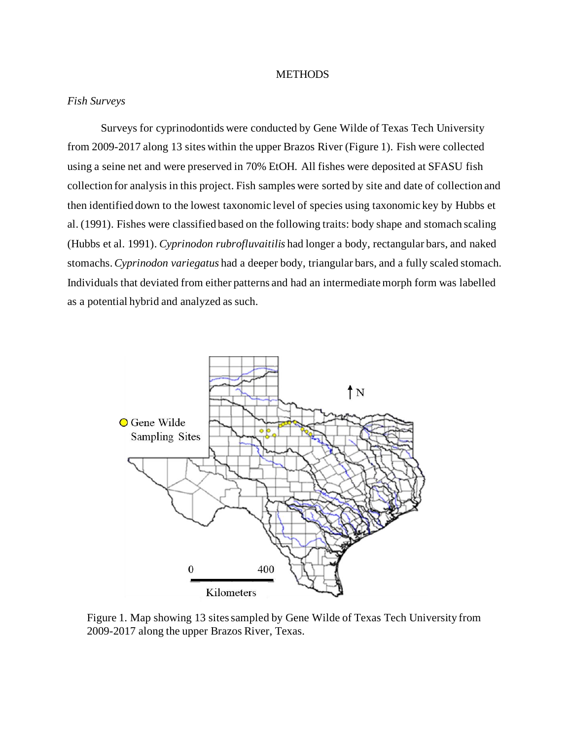### **METHODS**

## *Fish Surveys*

Surveys for cyprinodontids were conducted by Gene Wilde of Texas Tech University from 2009-2017 along 13 sites within the upper Brazos River (Figure 1). Fish were collected using a seine net and were preserved in 70% EtOH. All fishes were deposited at SFASU fish collection for analysis in this project. Fish samples were sorted by site and date of collection and then identified down to the lowest taxonomic level of species using taxonomic key by Hubbs et al. (1991). Fishes were classified based on the following traits: body shape and stomach scaling (Hubbs et al. 1991). *Cyprinodon rubrofluvaitilis* had longer a body, rectangular bars, and naked stomachs.*Cyprinodon variegatus* had a deeper body, triangular bars, and a fully scaled stomach. Individuals that deviated from either patterns and had an intermediate morph form was labelled as a potential hybrid and analyzed as such.



Figure 1. Map showing 13 sites sampled by Gene Wilde of Texas Tech University from 2009-2017 along the upper Brazos River, Texas.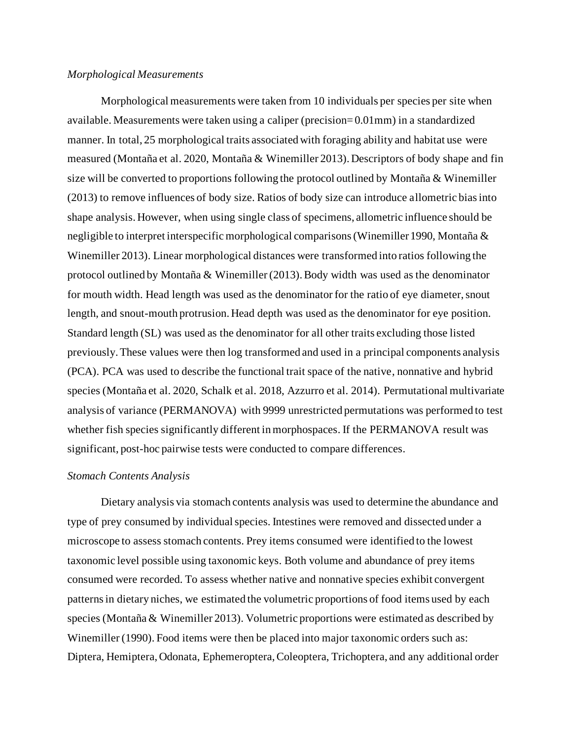### *Morphological Measurements*

Morphological measurements were taken from 10 individuals per species per site when available. Measurements were taken using a caliper (precision= 0.01mm) in a standardized manner. In total, 25 morphological traits associated with foraging ability and habitat use were measured (Montaña et al. 2020, Montaña & Winemiller 2013). Descriptors of body shape and fin size will be converted to proportions following the protocol outlined by Montaña & Winemiller (2013) to remove influences of body size. Ratios of body size can introduce allometric bias into shape analysis. However, when using single class of specimens, allometric influence should be negligible to interpret interspecific morphological comparisons (Winemiller 1990, Montaña & Winemiller 2013). Linear morphological distances were transformed into ratios following the protocol outlined by Montaña & Winemiller (2013). Body width was used as the denominator for mouth width. Head length was used as the denominator for the ratio of eye diameter, snout length, and snout-mouth protrusion. Head depth was used as the denominator for eye position. Standard length (SL) was used as the denominator for all other traits excluding those listed previously. These values were then log transformed and used in a principal components analysis (PCA). PCA was used to describe the functional trait space of the native, nonnative and hybrid species (Montaña et al. 2020, Schalk et al. 2018, Azzurro et al. 2014). Permutational multivariate analysis of variance (PERMANOVA) with 9999 unrestricted permutations was performed to test whether fish species significantly different in morphospaces. If the PERMANOVA result was significant, post-hoc pairwise tests were conducted to compare differences.

#### *Stomach Contents Analysis*

Dietary analysis via stomach contents analysis was used to determine the abundance and type of prey consumed by individual species. Intestines were removed and dissected under a microscope to assess stomach contents. Prey items consumed were identified to the lowest taxonomic level possible using taxonomic keys. Both volume and abundance of prey items consumed were recorded. To assess whether native and nonnative species exhibit convergent patterns in dietary niches, we estimated the volumetric proportions of food items used by each species (Montaña & Winemiller 2013). Volumetric proportions were estimated as described by Winemiller (1990). Food items were then be placed into major taxonomic orders such as: Diptera, Hemiptera, Odonata, Ephemeroptera, Coleoptera, Trichoptera, and any additional order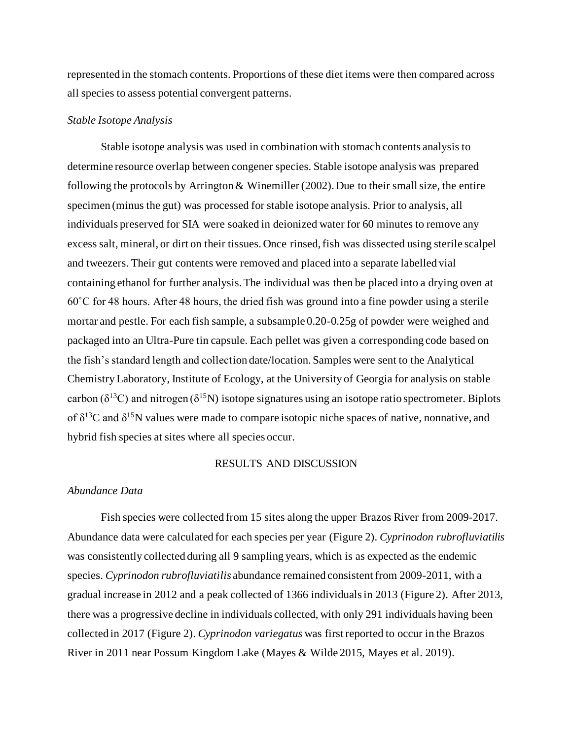represented in the stomach contents. Proportions of these diet items were then compared across all species to assess potential convergent patterns.

### *Stable Isotope Analysis*

Stable isotope analysis was used in combination with stomach contents analysis to determine resource overlap between congener species. Stable isotope analysis was prepared following the protocols by Arrington  $&$  Winemiller (2002). Due to their small size, the entire specimen (minus the gut) was processed for stable isotope analysis. Prior to analysis, all individuals preserved for SIA were soaked in deionized water for 60 minutes to remove any excess salt, mineral, or dirt on their tissues. Once rinsed, fish was dissected using sterile scalpel and tweezers. Their gut contents were removed and placed into a separate labelled vial containing ethanol for further analysis. The individual was then be placed into a drying oven at 60˚C for 48 hours. After 48 hours, the dried fish was ground into a fine powder using a sterile mortar and pestle. For each fish sample, a subsample 0.20-0.25g of powder were weighed and packaged into an Ultra-Pure tin capsule. Each pellet was given a corresponding code based on the fish's standard length and collection date/location. Samples were sent to the Analytical Chemistry Laboratory, Institute of Ecology, at the University of Georgia for analysis on stable carbon ( $\delta^{13}$ C) and nitrogen ( $\delta^{15}$ N) isotope signatures using an isotope ratio spectrometer. Biplots of  $\delta^{13}$ C and  $\delta^{15}$ N values were made to compare isotopic niche spaces of native, nonnative, and hybrid fish species at sites where all species occur.

# RESULTS AND DISCUSSION

### *Abundance Data*

Fish species were collected from 15 sites along the upper Brazos River from 2009-2017. Abundance data were calculated for each species per year (Figure 2). *Cyprinodon rubrofluviatilis*  was consistently collected during all 9 sampling years, which is as expected as the endemic species. *Cyprinodon rubrofluviatilis* abundance remained consistent from 2009-2011, with a gradual increase in 2012 and a peak collected of 1366 individuals in 2013 (Figure 2). After 2013, there was a progressive decline in individuals collected, with only 291 individuals having been collected in 2017 (Figure 2). *Cyprinodon variegatus* was first reported to occur in the Brazos River in 2011 near Possum Kingdom Lake (Mayes & Wilde 2015, Mayes et al. 2019).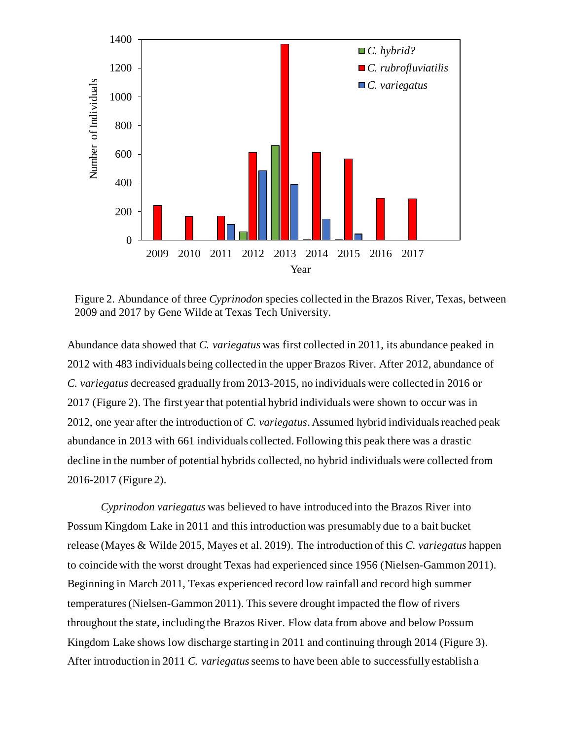

Figure 2. Abundance of three *Cyprinodon* species collected in the Brazos River, Texas, between 2009 and 2017 by Gene Wilde at Texas Tech University.

Abundance data showed that *C. variegatus* was first collected in 2011, its abundance peaked in 2012 with 483 individuals being collected in the upper Brazos River. After 2012, abundance of *C. variegatus* decreased gradually from 2013-2015, no individuals were collected in 2016 or 2017 (Figure 2). The first year that potential hybrid individuals were shown to occur was in 2012, one year after the introduction of *C. variegatus*. Assumed hybrid individuals reached peak abundance in 2013 with 661 individuals collected. Following this peak there was a drastic decline in the number of potential hybrids collected, no hybrid individuals were collected from 2016-2017 (Figure 2).

*Cyprinodon variegatus* was believed to have introduced into the Brazos River into Possum Kingdom Lake in 2011 and this introduction was presumably due to a bait bucket release (Mayes & Wilde 2015, Mayes et al. 2019). The introduction of this *C. variegatus* happen to coincide with the worst drought Texas had experienced since 1956 (Nielsen-Gammon 2011). Beginning in March 2011, Texas experienced record low rainfall and record high summer temperatures(Nielsen-Gammon 2011). This severe drought impacted the flow of rivers throughout the state, including the Brazos River. Flow data from above and below Possum Kingdom Lake shows low discharge starting in 2011 and continuing through 2014 (Figure 3). After introduction in 2011 *C. variegatus*seems to have been able to successfully establish a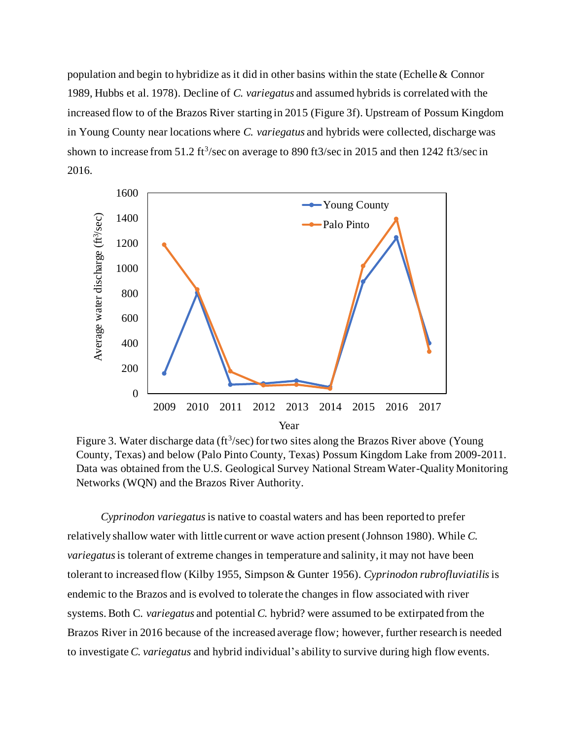population and begin to hybridize as it did in other basins within the state (Echelle  $&$  Connor 1989, Hubbs et al. 1978). Decline of *C. variegatus* and assumed hybrids is correlated with the increased flow to of the Brazos River starting in 2015 (Figure 3f). Upstream of Possum Kingdom in Young County near locations where *C. variegatus* and hybrids were collected, discharge was shown to increase from 51.2 ft<sup>3</sup>/sec on average to 890 ft3/sec in 2015 and then 1242 ft3/sec in 2016.



Figure 3. Water discharge data (ft<sup>3</sup>/sec) for two sites along the Brazos River above (Young County, Texas) and below (Palo Pinto County, Texas) Possum Kingdom Lake from 2009-2011. Data was obtained from the U.S. Geological Survey National Stream Water-Quality Monitoring Networks (WQN) and the Brazos River Authority.

*Cyprinodon variegatus*is native to coastal waters and has been reported to prefer relatively shallow water with little current or wave action present (Johnson 1980). While *C. variegatus* is tolerant of extreme changes in temperature and salinity, it may not have been tolerant to increased flow (Kilby 1955, Simpson & Gunter 1956). *Cyprinodon rubrofluviatilis*is endemic to the Brazos and is evolved to tolerate the changes in flow associated with river systems. Both C. *variegatus* and potential *C.* hybrid? were assumed to be extirpated from the Brazos River in 2016 because of the increased average flow; however, further research is needed to investigate *C. variegatus* and hybrid individual's ability to survive during high flow events.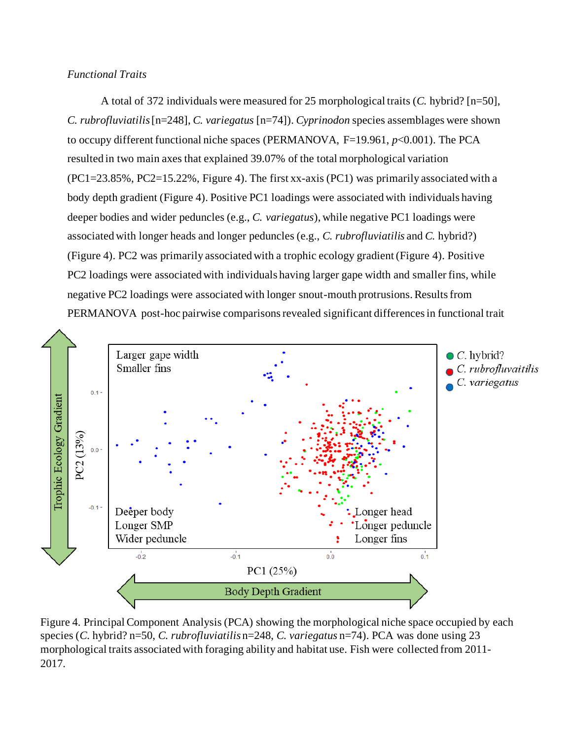# *Functional Traits*

A total of 372 individuals were measured for 25 morphological traits (*C.* hybrid? [n=50], *C. rubrofluviatilis*[n=248], *C. variegatus* [n=74]). *Cyprinodon* species assemblages were shown to occupy different functional niche spaces (PERMANOVA, F=19.961, *p*<0.001). The PCA resulted in two main axes that explained 39.07% of the total morphological variation (PC1=23.85%, PC2=15.22%, Figure 4). The first xx-axis (PC1) was primarily associated with a body depth gradient (Figure 4). Positive PC1 loadings were associated with individuals having deeper bodies and wider peduncles (e.g., *C. variegatus*), while negative PC1 loadings were associated with longer heads and longer peduncles (e.g., *C. rubrofluviatilis* and *C.* hybrid?) (Figure 4). PC2 was primarily associated with a trophic ecology gradient (Figure 4). Positive PC2 loadings were associated with individuals having larger gape width and smaller fins, while negative PC2 loadings were associated with longer snout-mouth protrusions. Results from PERMANOVA post-hoc pairwise comparisons revealed significant differences in functional trait



Figure 4. Principal Component Analysis (PCA) showing the morphological niche space occupied by each species (*C*. hybrid? n=50, *C. rubrofluviatilis* n=248, *C. variegatus* n=74). PCA was done using 23 morphological traits associated with foraging ability and habitat use. Fish were collected from 2011- 2017.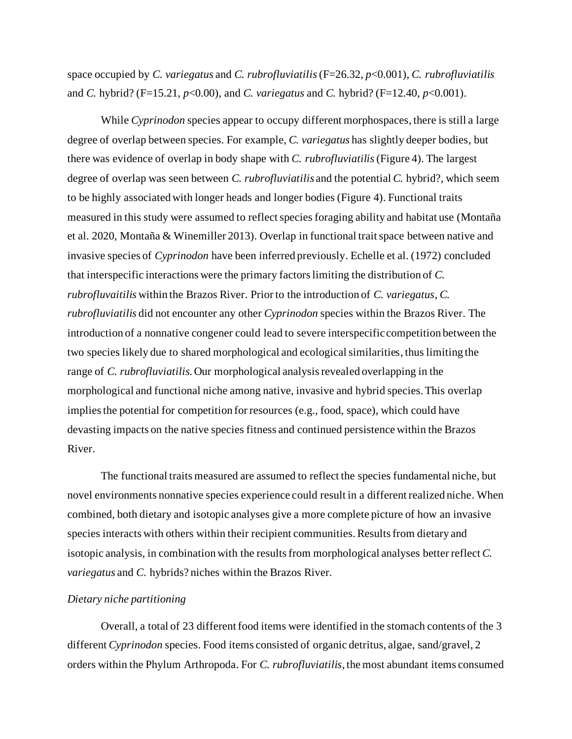space occupied by *C. variegatus* and *C. rubrofluviatilis*(F=26.32, *p*<0.001), *C. rubrofluviatilis*  and *C.* hybrid? (F=15.21, *p*<0.00), and *C. variegatus* and *C.* hybrid? (F=12.40, *p*<0.001).

While *Cyprinodon* species appear to occupy different morphospaces, there is still a large degree of overlap between species. For example, *C. variegatus* has slightly deeper bodies, but there was evidence of overlap in body shape with *C. rubrofluviatilis*(Figure 4). The largest degree of overlap was seen between *C. rubrofluviatilis* and the potential *C.* hybrid?, which seem to be highly associated with longer heads and longer bodies (Figure 4). Functional traits measured in this study were assumed to reflect speciesforaging ability and habitat use (Montaña et al. 2020, Montaña & Winemiller 2013). Overlap in functional trait space between native and invasive species of *Cyprinodon* have been inferred previously. Echelle et al. (1972) concluded that interspecific interactions were the primary factors limiting the distribution of *C. rubrofluvaitilis* within the Brazos River. Prior to the introduction of *C. variegatus*, *C. rubrofluviatilis* did not encounter any other *Cyprinodon* species within the Brazos River. The introduction of a nonnative congener could lead to severe interspecific competition between the two species likely due to shared morphological and ecological similarities, thus limiting the range of *C. rubrofluviatilis*. Our morphological analysis revealed overlapping in the morphological and functional niche among native, invasive and hybrid species. This overlap implies the potential for competition for resources (e.g., food, space), which could have devasting impacts on the native species fitness and continued persistence within the Brazos River.

The functional traits measured are assumed to reflect the species fundamental niche, but novel environments nonnative species experience could result in a different realized niche. When combined, both dietary and isotopic analyses give a more complete picture of how an invasive species interacts with others within their recipient communities. Results from dietary and isotopic analysis, in combination with the results from morphological analyses better reflect *C. variegatus* and *C*. hybrids? niches within the Brazos River.

### *Dietary niche partitioning*

Overall, a total of 23 different food items were identified in the stomach contents of the 3 different *Cyprinodon* species. Food items consisted of organic detritus, algae, sand/gravel, 2 orders within the Phylum Arthropoda. For *C. rubrofluviatilis*, the most abundant items consumed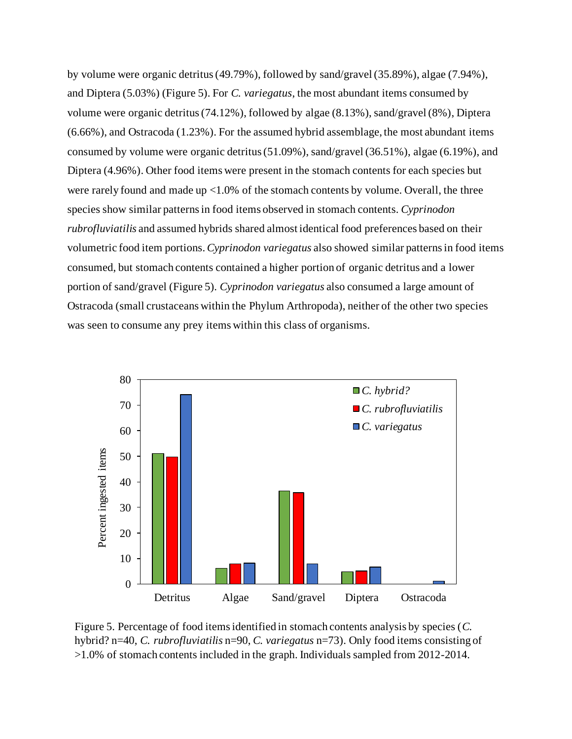by volume were organic detritus (49.79%), followed by sand/gravel (35.89%), algae (7.94%), and Diptera (5.03%) (Figure 5). For *C. variegatus*, the most abundant items consumed by volume were organic detritus (74.12%), followed by algae (8.13%), sand/gravel (8%), Diptera (6.66%), and Ostracoda (1.23%). For the assumed hybrid assemblage, the most abundant items consumed by volume were organic detritus (51.09%), sand/gravel (36.51%), algae (6.19%), and Diptera (4.96%). Other food items were present in the stomach contents for each species but were rarely found and made up <1.0% of the stomach contents by volume. Overall, the three species show similar patterns in food items observed in stomach contents. *Cyprinodon rubrofluviatilis* and assumed hybrids shared almost identical food preferences based on their volumetric food item portions. *Cyprinodon variegatus* also showed similar patterns in food items consumed, but stomach contents contained a higher portion of organic detritus and a lower portion of sand/gravel (Figure 5). *Cyprinodon variegatus* also consumed a large amount of Ostracoda (small crustaceans within the Phylum Arthropoda), neither of the other two species was seen to consume any prey items within this class of organisms.



Figure 5. Percentage of food items identified in stomach contents analysis by species (*C.* hybrid? n=40, *C. rubrofluviatilis* n=90, *C. variegatus* n=73). Only food items consisting of >1.0% of stomach contents included in the graph. Individuals sampled from 2012-2014.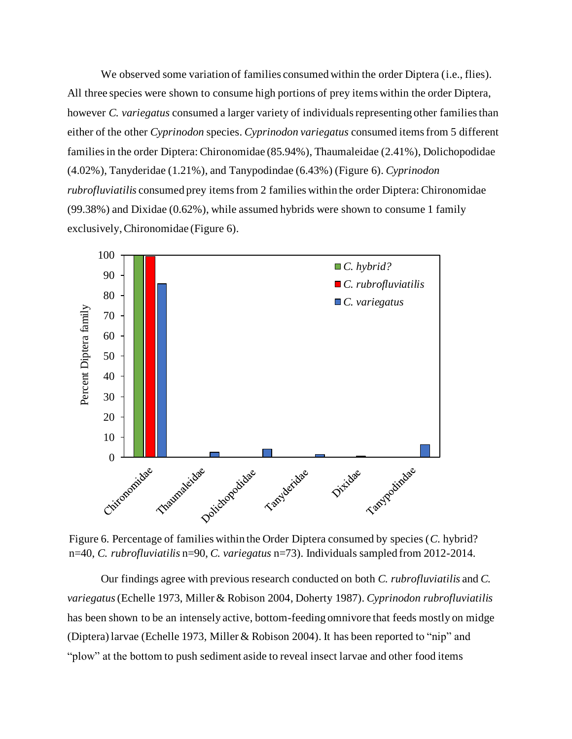We observed some variation of families consumed within the order Diptera (i.e., flies). All three species were shown to consume high portions of prey items within the order Diptera, however *C. variegatus* consumed a larger variety of individuals representing other families than either of the other *Cyprinodon* species. *Cyprinodon variegatus* consumed items from 5 different families in the order Diptera: Chironomidae (85.94%), Thaumaleidae (2.41%), Dolichopodidae (4.02%), Tanyderidae (1.21%), and Tanypodindae (6.43%) (Figure 6). *Cyprinodon rubrofluviatilis* consumed prey items from 2 families within the order Diptera: Chironomidae (99.38%) and Dixidae (0.62%), while assumed hybrids were shown to consume 1 family exclusively, Chironomidae (Figure 6).



Figure 6. Percentage of families within the Order Diptera consumed by species (*C*. hybrid? n=40, *C. rubrofluviatilis* n=90, *C. variegatus* n=73). Individuals sampled from 2012-2014.

Our findings agree with previous research conducted on both *C. rubrofluviatilis* and *C. variegatus*(Echelle 1973, Miller & Robison 2004, Doherty 1987). *Cyprinodon rubrofluviatilis* has been shown to be an intensely active, bottom-feeding omnivore that feeds mostly on midge (Diptera) larvae (Echelle 1973, Miller & Robison 2004). It has been reported to "nip" and "plow" at the bottom to push sediment aside to reveal insect larvae and other food items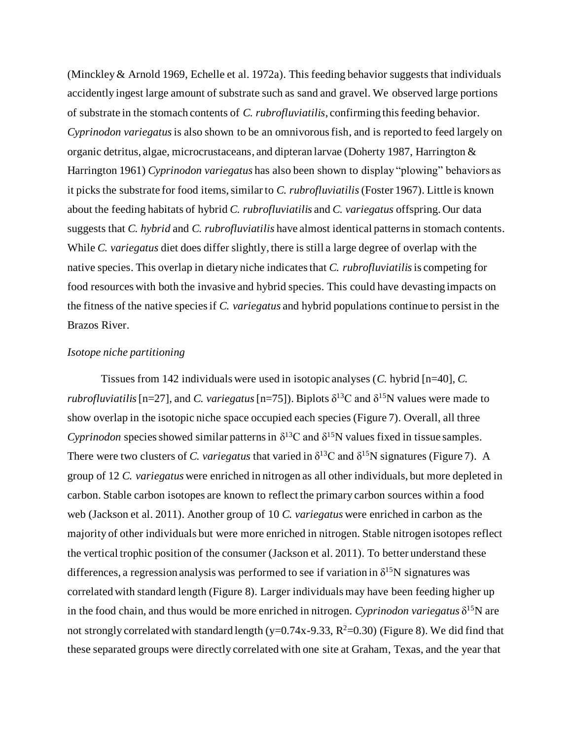(Minckley & Arnold 1969, Echelle et al. 1972a). This feeding behavior suggests that individuals accidently ingest large amount of substrate such as sand and gravel. We observed large portions of substrate in the stomach contents of *C. rubrofluviatilis*, confirming this feeding behavior. *Cyprinodon variegatus*is also shown to be an omnivorous fish, and is reported to feed largely on organic detritus, algae, microcrustaceans, and dipteran larvae (Doherty 1987, Harrington & Harrington 1961) *Cyprinodon variegatus* has also been shown to display "plowing" behaviors as it picks the substrate for food items, similar to *C. rubrofluviatilis*(Foster 1967). Little is known about the feeding habitats of hybrid *C. rubrofluviatilis* and *C. variegatus* offspring. Our data suggests that *C. hybrid* and *C. rubrofluviatilis* have almost identical patterns in stomach contents. While *C. variegatus* diet does differ slightly, there is still a large degree of overlap with the native species. This overlap in dietary niche indicates that *C. rubrofluviatilis* is competing for food resources with both the invasive and hybrid species. This could have devasting impacts on the fitness of the native species if *C. variegatus* and hybrid populations continue to persist in the Brazos River.

### *Isotope niche partitioning*

Tissues from 142 individuals were used in isotopic analyses (*C.* hybrid [n=40], *C. rubrofluviatilis* [n=27], and *C. variegatus* [n=75]). Biplots  $\delta^{13}$ C and  $\delta^{15}$ N values were made to show overlap in the isotopic niche space occupied each species (Figure 7). Overall, all three *Cyprinodon* species showed similar patterns in  $\delta^{13}$ C and  $\delta^{15}$ N values fixed in tissue samples. There were two clusters of *C. variegatus* that varied in  $\delta^{13}$ C and  $\delta^{15}$ N signatures (Figure 7). A group of 12 *C. variegatus* were enriched in nitrogen as all other individuals, but more depleted in carbon. Stable carbon isotopes are known to reflect the primary carbon sources within a food web (Jackson et al. 2011). Another group of 10 *C. variegatus* were enriched in carbon as the majority of other individuals but were more enriched in nitrogen. Stable nitrogen isotopes reflect the vertical trophic position of the consumer (Jackson et al. 2011). To better understand these differences, a regression analysis was performed to see if variation in  $\delta^{15}N$  signatures was correlated with standard length (Figure 8). Larger individuals may have been feeding higher up in the food chain, and thus would be more enriched in nitrogen. *Cyprinodon variegatus* δ <sup>15</sup>N are not strongly correlated with standard length (y=0.74x-9.33,  $R^2$ =0.30) (Figure 8). We did find that these separated groups were directly correlated with one site at Graham, Texas, and the year that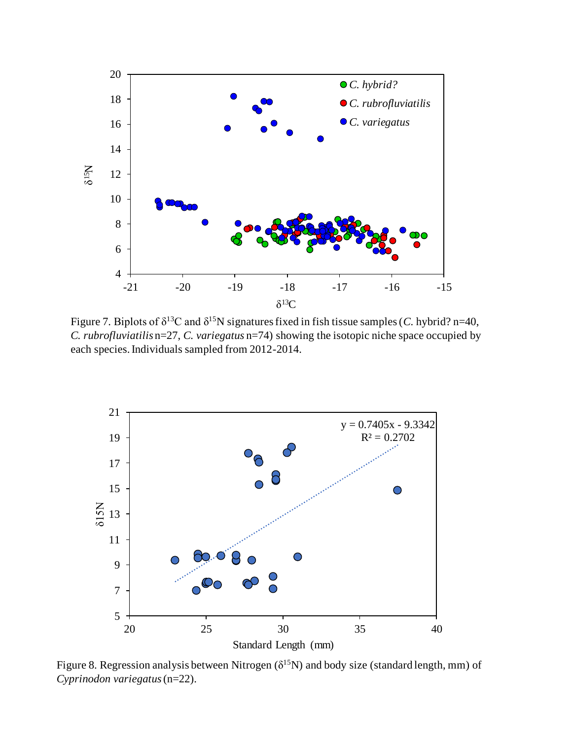

Figure 7. Biplots of  $\delta^{13}C$  and  $\delta^{15}N$  signatures fixed in fish tissue samples (*C*. hybrid? n=40, *C. rubrofluviatilis* n=27, *C. variegatus* n=74) showing the isotopic niche space occupied by each species. Individuals sampled from 2012-2014.



they were collected (Figure 9). Individuals collected at Graham in 2013 were more enriched in *Cyprinodon variegatus*(n=22).Figure 8. Regression analysis between Nitrogen  $(\delta^{15}N)$  and body size (standard length, mm) of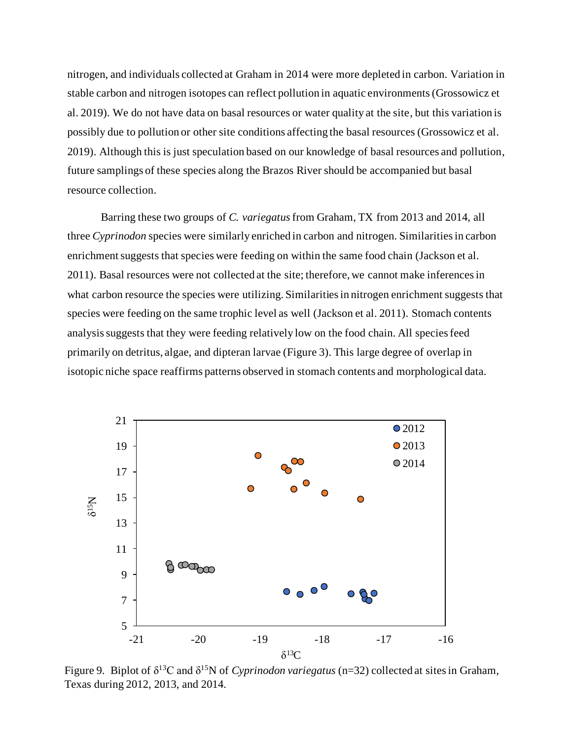nitrogen, and individuals collected at Graham in 2014 were more depleted in carbon. Variation in stable carbon and nitrogen isotopes can reflect pollution in aquatic environments(Grossowicz et al. 2019). We do not have data on basal resources or water quality at the site, but this variation is possibly due to pollution or other site conditions affecting the basal resources (Grossowicz et al. 2019). Although this is just speculation based on our knowledge of basal resources and pollution, future samplings of these species along the Brazos River should be accompanied but basal resource collection.

Barring these two groups of *C. variegatus*from Graham, TX from 2013 and 2014, all three *Cyprinodon* species were similarly enriched in carbon and nitrogen. Similarities in carbon enrichment suggests that species were feeding on within the same food chain (Jackson et al. 2011). Basal resources were not collected at the site; therefore, we cannot make inferences in what carbon resource the species were utilizing. Similarities in nitrogen enrichment suggests that species were feeding on the same trophic level as well (Jackson et al. 2011). Stomach contents analysis suggests that they were feeding relatively low on the food chain. All species feed primarily on detritus, algae, and dipteran larvae (Figure 3). This large degree of overlap in isotopic niche space reaffirms patterns observed in stomach contents and morphological data.



Figure 9. Biplot of  $\delta^{13}C$  and  $\delta^{15}N$  of *Cyprinodon variegatus* (n=32) collected at sites in Graham, Texas during 2012, 2013, and 2014.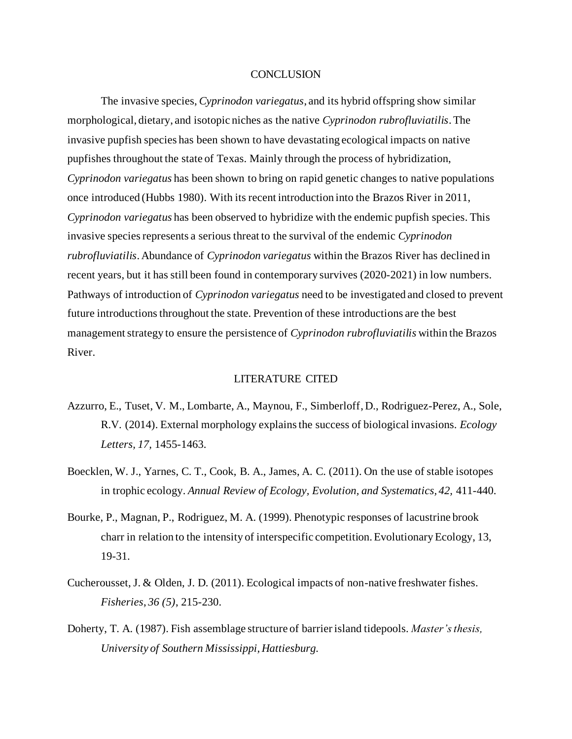#### **CONCLUSION**

The invasive species, *Cyprinodon variegatus*, and its hybrid offspring show similar morphological, dietary, and isotopic niches as the native *Cyprinodon rubrofluviatilis*. The invasive pupfish species has been shown to have devastating ecological impacts on native pupfishes throughout the state of Texas. Mainly through the process of hybridization, *Cyprinodon variegatus* has been shown to bring on rapid genetic changes to native populations once introduced (Hubbs 1980). With its recent introduction into the Brazos River in 2011, *Cyprinodon variegatus* has been observed to hybridize with the endemic pupfish species. This invasive species represents a serious threat to the survival of the endemic *Cyprinodon rubrofluviatilis*. Abundance of *Cyprinodon variegatus* within the Brazos River has declined in recent years, but it has still been found in contemporary survives (2020-2021) in low numbers. Pathways of introduction of *Cyprinodon variegatus* need to be investigated and closed to prevent future introductions throughout the state. Prevention of these introductions are the best management strategy to ensure the persistence of *Cyprinodon rubrofluviatilis* within the Brazos River.

## LITERATURE CITED

- Azzurro, E., Tuset, V. M., Lombarte, A., Maynou, F., Simberloff, D., Rodriguez-Perez, A., Sole, R.V. (2014). External morphology explains the success of biological invasions. *Ecology Letters, 17,* 1455-1463.
- Boecklen, W. J., Yarnes, C. T., Cook, B. A., James, A. C. (2011). On the use of stable isotopes in trophic ecology. *Annual Review of Ecology, Evolution, and Systematics, 42,* 411-440.
- Bourke, P., Magnan, P., Rodriguez, M. A. (1999). Phenotypic responses of lacustrine brook charr in relation to the intensity of interspecific competition. Evolutionary Ecology, 13, 19-31.
- Cucherousset, J. & Olden, J. D. (2011). Ecological impacts of non-native freshwater fishes. *Fisheries*, *36 (5)*, 215-230.
- Doherty, T. A. (1987). Fish assemblage structure of barrier island tidepools. *Master's thesis, University of Southern Mississippi, Hattiesburg.*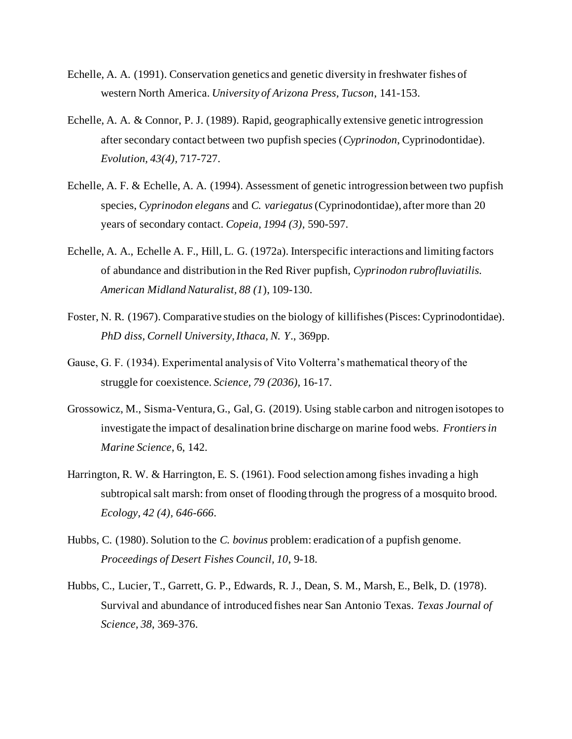- Echelle, A. A. (1991). Conservation genetics and genetic diversity in freshwater fishes of western North America. *University of Arizona Press, Tucson*, 141-153.
- Echelle, A. A. & Connor, P. J. (1989). Rapid, geographically extensive genetic introgression after secondary contact between two pupfish species (*Cyprinodon*, Cyprinodontidae). *Evolution, 43(4),* 717-727.
- Echelle, A. F. & Echelle, A. A. (1994). Assessment of genetic introgression between two pupfish species, *Cyprinodon elegans* and *C. variegatus*(Cyprinodontidae), after more than 20 years of secondary contact. *Copeia, 1994 (3),* 590-597.
- Echelle, A. A., Echelle A. F., Hill, L. G. (1972a). Interspecific interactions and limiting factors of abundance and distribution in the Red River pupfish, *Cyprinodon rubrofluviatilis*. *American Midland Naturalist, 88 (1*), 109-130.
- Foster, N. R. (1967). Comparative studies on the biology of killifishes (Pisces: Cyprinodontidae). *PhD diss, Cornell University, Ithaca, N. Y*., 369pp.
- Gause, G. F. (1934). Experimental analysis of Vito Volterra's mathematical theory of the struggle for coexistence. *Science, 79 (2036),* 16-17.
- Grossowicz, M., Sisma-Ventura, G., Gal, G. (2019). Using stable carbon and nitrogen isotopes to investigate the impact of desalination brine discharge on marine food webs. *Frontiers in Marine Science*, 6, 142.
- Harrington, R. W. & Harrington, E. S. (1961). Food selection among fishes invading a high subtropical salt marsh: from onset of flooding through the progress of a mosquito brood. *Ecology, 42 (4), 646-666*.
- Hubbs, C. (1980). Solution to the *C. bovinus* problem: eradication of a pupfish genome. *Proceedings of Desert Fishes Council, 10*, 9-18.
- Hubbs, C., Lucier, T., Garrett, G. P., Edwards, R. J., Dean, S. M., Marsh, E., Belk, D. (1978). Survival and abundance of introduced fishes near San Antonio Texas. *Texas Journal of Science, 38*, 369-376.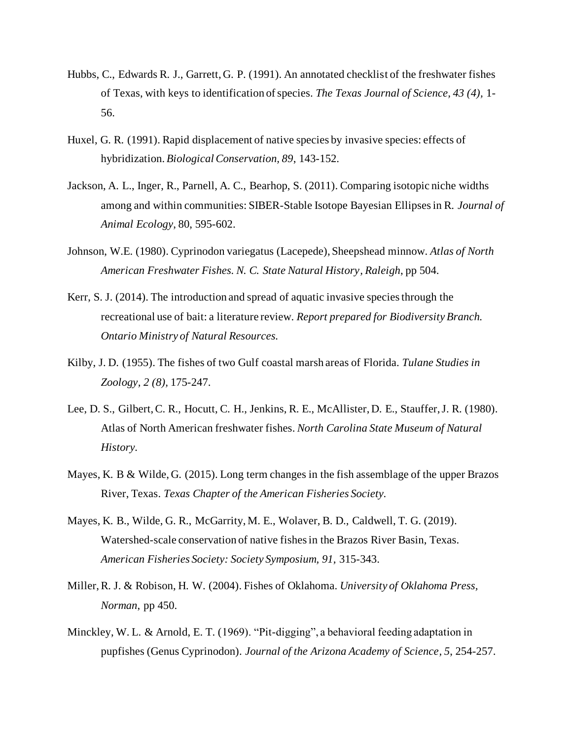- Hubbs, C., Edwards R. J., Garrett, G. P. (1991). An annotated checklist of the freshwater fishes of Texas, with keys to identification of species. *The Texas Journal of Science, 43 (4),* 1- 56.
- Huxel, G. R. (1991). Rapid displacement of native species by invasive species: effects of hybridization. *Biological Conservation, 89*, 143-152.
- Jackson, A. L., Inger, R., Parnell, A. C., Bearhop, S. (2011). Comparing isotopic niche widths among and within communities: SIBER-Stable Isotope Bayesian Ellipses in R. *Journal of Animal Ecology*, 80, 595-602.
- Johnson, W.E. (1980). Cyprinodon variegatus (Lacepede), Sheepshead minnow. *Atlas of North American Freshwater Fishes. N. C. State Natural History, Raleigh*, pp 504.
- Kerr, S. J. (2014). The introduction and spread of aquatic invasive species through the recreational use of bait: a literature review. *Report prepared for Biodiversity Branch. Ontario Ministry of Natural Resources.*
- Kilby, J. D. (1955). The fishes of two Gulf coastal marsh areas of Florida. *Tulane Studies in Zoology, 2 (8),* 175-247.
- Lee, D. S., Gilbert, C. R., Hocutt, C. H., Jenkins, R. E., McAllister, D. E., Stauffer, J. R. (1980). Atlas of North American freshwater fishes. *North Carolina State Museum of Natural History.*
- Mayes, K. B & Wilde, G. (2015). Long term changes in the fish assemblage of the upper Brazos River, Texas. *Texas Chapter of the American Fisheries Society.*
- Mayes, K. B., Wilde, G. R., McGarrity, M. E., Wolaver, B. D., Caldwell, T. G. (2019). Watershed-scale conservation of native fishes in the Brazos River Basin, Texas. *American Fisheries Society: Society Symposium, 91,* 315-343.
- Miller, R. J. & Robison, H. W. (2004). Fishes of Oklahoma. *University of Oklahoma Press, Norman*, pp 450.
- Minckley, W. L. & Arnold, E. T. (1969). "Pit-digging", a behavioral feeding adaptation in pupfishes (Genus Cyprinodon). *Journal of the Arizona Academy of Science, 5*, 254-257.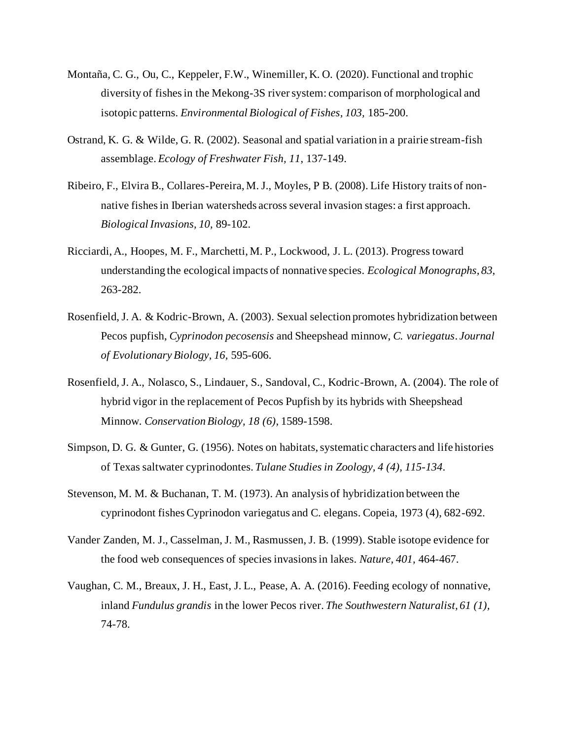- Montaña, C. G., Ou, C., Keppeler, F.W., Winemiller, K. O. (2020). Functional and trophic diversity of fishes in the Mekong-3S river system: comparison of morphological and isotopic patterns. *Environmental Biological of Fishes, 103,* 185-200.
- Ostrand, K. G. & Wilde, G. R. (2002). Seasonal and spatial variation in a prairie stream-fish assemblage. *Ecology of Freshwater Fish, 11*, 137-149.
- Ribeiro, F., Elvira B., Collares-Pereira, M. J., Moyles, P B. (2008). Life History traits of nonnative fishes in Iberian watersheds across several invasion stages: a first approach. *Biological Invasions, 10,* 89-102.
- Ricciardi, A., Hoopes, M. F., Marchetti, M. P., Lockwood, J. L. (2013). Progress toward understanding the ecological impacts of nonnative species. *Ecological Monographs, 83*, 263-282.
- Rosenfield, J. A. & Kodric-Brown, A. (2003). Sexual selection promotes hybridization between Pecos pupfish, *Cyprinodon pecosensis* and Sheepshead minnow, *C. variegatus*. *Journal of Evolutionary Biology, 16,* 595-606.
- Rosenfield, J. A., Nolasco, S., Lindauer, S., Sandoval, C., Kodric-Brown, A. (2004). The role of hybrid vigor in the replacement of Pecos Pupfish by its hybrids with Sheepshead Minnow. *Conservation Biology, 18 (6),* 1589-1598.
- Simpson, D. G. & Gunter, G. (1956). Notes on habitats, systematic characters and life histories of Texas saltwater cyprinodontes. *Tulane Studies in Zoology, 4 (4), 115-134*.
- Stevenson, M. M. & Buchanan, T. M. (1973). An analysis of hybridization between the cyprinodont fishes Cyprinodon variegatus and C. elegans. Copeia, 1973 (4), 682-692.
- Vander Zanden, M. J., Casselman, J. M., Rasmussen, J. B. (1999). Stable isotope evidence for the food web consequences of species invasions in lakes. *Nature, 401,* 464-467.
- Vaughan, C. M., Breaux, J. H., East, J. L., Pease, A. A. (2016). Feeding ecology of nonnative, inland *Fundulus grandis* in the lower Pecos river. *The Southwestern Naturalist, 61 (1),*  74-78.